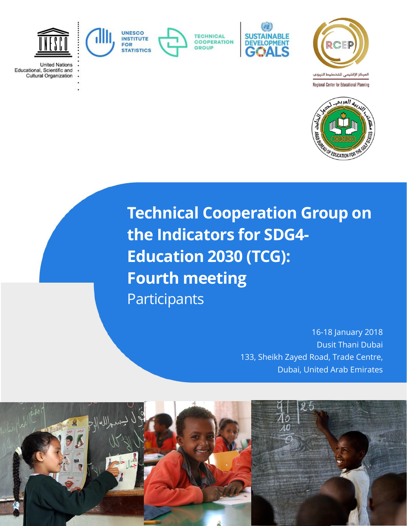

**United Nations** Educational, Scientific and **Cultural Organization** 



**TECHNICAL COOPERATION** GROUP







**Technical Cooperation Group on the Indicators for SDG4- Education 2030 (TCG): Fourth meeting** Participants

> 16-18 January 2018 Dusit Thani Dubai 133, Sheikh Zayed Road, Trade Centre, Dubai, United Arab Emirates

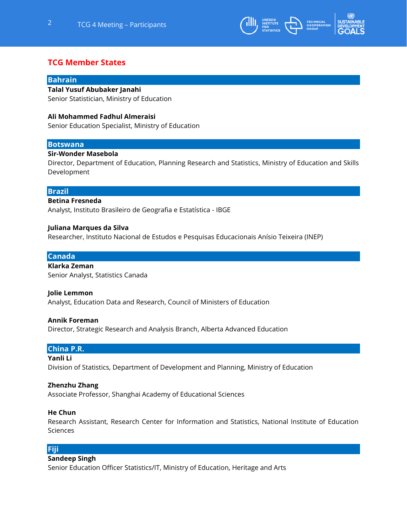

# **TCG Member States**

## **Bahrain**

## **Talal Yusuf Abubaker Janahi**

Senior Statistician, Ministry of Education

## **Ali Mohammed Fadhul Almeraisi**

Senior Education Specialist, Ministry of Education

## **Botswana**

## **Sir-Wonder Masebola**

Director, Department of Education, Planning Research and Statistics, Ministry of Education and Skills Development

## **Brazil**

## **Betina Fresneda**

Analyst, Instituto Brasileiro de Geografia e Estatística - IBGE

## **Juliana Marques da Silva**

Researcher, Instituto Nacional de Estudos e Pesquisas Educacionais Anísio Teixeira (INEP)

## **Canada**

**Klarka Zeman** Senior Analyst, Statistics Canada

## **Jolie Lemmon**

Analyst, Education Data and Research, Council of Ministers of Education

#### **Annik Foreman**

Director, Strategic Research and Analysis Branch, Alberta Advanced Education

## **China P.R.**

#### **Yanli Li**

Division of Statistics, Department of Development and Planning, Ministry of Education

## **Zhenzhu Zhang**

Associate Professor, Shanghai Academy of Educational Sciences

## **He Chun**

Research Assistant, Research Center for Information and Statistics, National Institute of Education Sciences

## **Fiji**

## **Sandeep Singh**

Senior Education Officer Statistics/IT, Ministry of Education, Heritage and Arts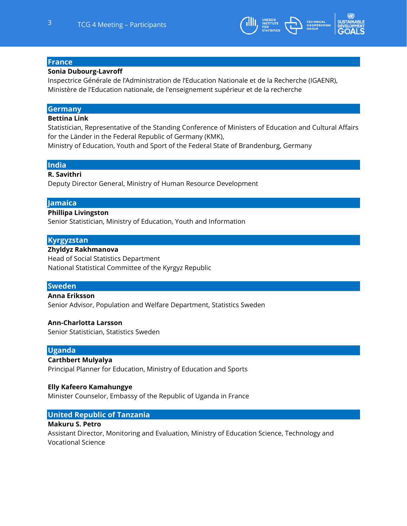

## **France**

## **Sonia Dubourg-Lavroff**

Inspectrice Générale de l'Administration de l'Education Nationale et de la Recherche (IGAENR), Ministère de l'Education nationale, de l'enseignement supérieur et de la recherche

## **Germany**

## **Bettina Link**

Statistician, Representative of the Standing Conference of Ministers of Education and Cultural Affairs for the Länder in the Federal Republic of Germany (KMK),

Ministry of Education, Youth and Sport of the Federal State of Brandenburg, Germany

## **India**

## **R. Savithri**

Deputy Director General, Ministry of Human Resource Development

## **Jamaica**

## **Phillipa Livingston**

Senior Statistician, Ministry of Education, Youth and Information

## **Kyrgyzstan**

## **Zhyldyz Rakhmanova**

Head of Social Statistics Department National Statistical Committee of the Kyrgyz Republic

## **Sweden**

## **Anna Eriksson**

Senior Advisor, Population and Welfare Department, Statistics Sweden

## **Ann-Charlotta Larsson**

Senior Statistician, Statistics Sweden

## **Uganda**

## **Carthbert Mulyalya**

Principal Planner for Education, Ministry of Education and Sports

## **Elly Kafeero Kamahungye**

Minister Counselor, Embassy of the Republic of Uganda in France

## **United Republic of Tanzania**

## **Makuru S. Petro**

Assistant Director, Monitoring and Evaluation, Ministry of Education Science, Technology and Vocational Science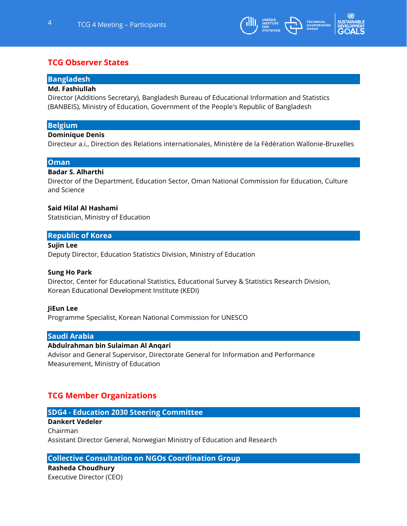

# **TCG Observer States**

### **Bangladesh**

### **Md. Fashiullah**

Director (Additions Secretary), Bangladesh Bureau of Educational Information and Statistics (BANBEIS), Ministry of Education, Government of the People's Republic of Bangladesh

## **Belgium**

#### **Dominique Denis**

Directeur a.i., Direction des Relations internationales, Ministère de la Fédération Wallonie-Bruxelles

## **Oman**

## **Badar S. Alharthi**

Director of the Department, Education Sector, Oman National Commission for Education, Culture and Science

## **Said Hilal Al Hashami**

Statistician, Ministry of Education

## **Republic of Korea**

## **Sujin Lee**

Deputy Director, Education Statistics Division, Ministry of Education

#### **Sung Ho Park**

Director, Center for Educational Statistics, Educational Survey & Statistics Research Division, Korean Educational Development Institute (KEDI)

#### **JiEun Lee**

Programme Specialist, Korean National Commission for UNESCO

## **Saudi Arabia**

#### **Abdulrahman bin Sulaiman Al Anqari**

Advisor and General Supervisor, Directorate General for Information and Performance Measurement, Ministry of Education

# **TCG Member Organizations**

## **SDG4 - Education 2030 Steering Committee**

## **Dankert Vedeler** Chairman Assistant Director General, Norwegian Ministry of Education and Research

## **Collective Consultation on NGOs Coordination Group**

**Rasheda Choudhury** Executive Director (CEO)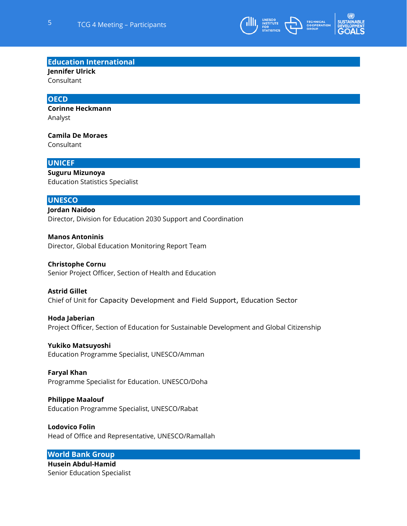

**Education International**

**Jennifer Ulrick** 

Consultant

## **OECD**

**Corinne Heckmann** Analyst

**Camila De Moraes** Consultant

## **UNICEF**

**Suguru Mizunoya** Education Statistics Specialist

## **UNESCO**

**Jordan Naidoo** Director, Division for Education 2030 Support and Coordination

**Manos Antoninis** Director, Global Education Monitoring Report Team

#### **Christophe Cornu**

Senior Project Officer, Section of Health and Education

## **Astrid Gillet**

Chief of Unit for Capacity Development and Field Support, Education Sector

#### **Hoda Jaberian**

Project Officer, Section of Education for Sustainable Development and Global Citizenship

**Yukiko Matsuyoshi**

Education Programme Specialist, UNESCO/Amman

## **Faryal Khan**

Programme Specialist for Education. UNESCO/Doha

## **Philippe Maalouf**

Education Programme Specialist, UNESCO/Rabat

## **Lodovico Folin** Head of Office and Representative, UNESCO/Ramallah

**World Bank Group**

**Husein Abdul-Hamid** Senior Education Specialist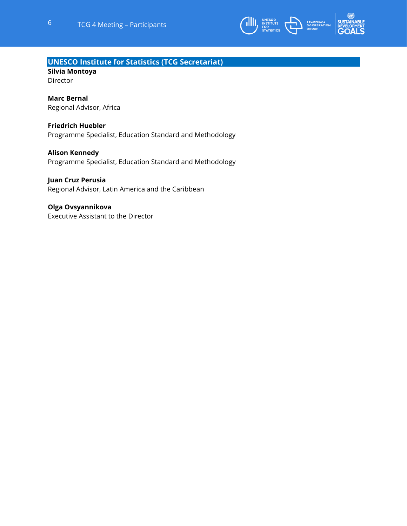

## **UNESCO Institute for Statistics (TCG Secretariat)**

**Silvia Montoya**  Director

## **Marc Bernal**

Regional Advisor, Africa

## **Friedrich Huebler**

Programme Specialist, Education Standard and Methodology

## **Alison Kennedy**

Programme Specialist, Education Standard and Methodology

## **Juan Cruz Perusia**

Regional Advisor, Latin America and the Caribbean

## **Olga Ovsyannikova**

Executive Assistant to the Director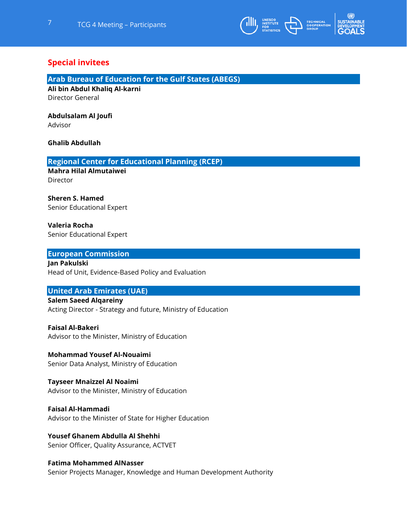

# **Special invitees**

## **Arab Bureau of Education for the Gulf States (ABEGS)**

**Ali bin Abdul Khaliq Al-karni** Director General

## **Abdulsalam Al Joufi**

Advisor

## **Ghalib Abdullah**

## **Regional Center for Educational Planning (RCEP)**

**Mahra Hilal Almutaiwei** Director

# **Sheren S. Hamed**

Senior Educational Expert

## **Valeria Rocha** Senior Educational Expert

## **European Commission**

**Jan Pakulski** Head of Unit, Evidence-Based Policy and Evaluation

## **United Arab Emirates (UAE)**

**Salem Saeed Alqareiny** Acting Director - Strategy and future, Ministry of Education

## **Faisal Al-Bakeri** Advisor to the Minister, Ministry of Education

**Mohammad Yousef Al-Nouaimi** Senior Data Analyst, Ministry of Education

## **Tayseer Mnaizzel Al Noaimi** Advisor to the Minister, Ministry of Education

**Faisal Al-Hammadi** Advisor to the Minister of State for Higher Education

## **Yousef Ghanem Abdulla Al Shehhi** Senior Officer, Quality Assurance, ACTVET

## **Fatima Mohammed AlNasser** Senior Projects Manager, Knowledge and Human Development Authority